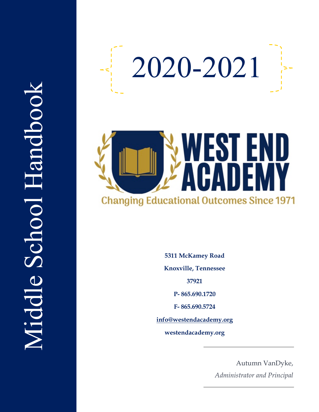



**5311 McKamey Road Knoxville, Tennessee**

**37921**

**P - 865.690.1720**

**F - 865.690.5724**

**info@westendacademy.org**

**westendacademy.org**

Autumn VanDyke, *Administrator and Principal*

# Middle School Handbook Middle School Handbook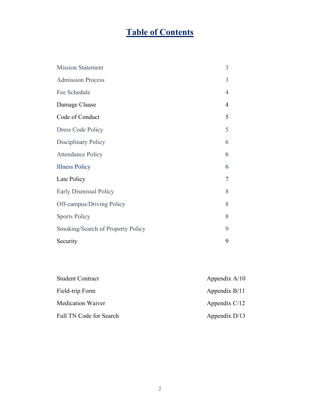# **Table of Contents**

| <b>Mission Statement</b>          | 3              |
|-----------------------------------|----------------|
| <b>Admission Process</b>          | 3              |
| Fee Schedule                      | $\overline{4}$ |
| Damage Clause                     | 4              |
| Code of Conduct                   | 5              |
| Dress Code Policy                 | 5              |
| Disciplinary Policy               | 6              |
| <b>Attendance Policy</b>          | 6              |
| <b>Illness Policy</b>             | 6              |
| Late Policy                       | 7              |
| Early Dismissal Policy            | 8              |
| Off-campus/Driving Policy         | 8              |
| <b>Sports Policy</b>              | 8              |
| Smoking/Search of Property Policy | 9              |
| Security                          | 9              |

| <b>Student Contract</b>  | Appendix $A/10$ |
|--------------------------|-----------------|
| Field-trip Form          | Appendix $B/11$ |
| <b>Medication Waiver</b> | Appendix $C/12$ |
| Full TN Code for Search  | Appendix $D/13$ |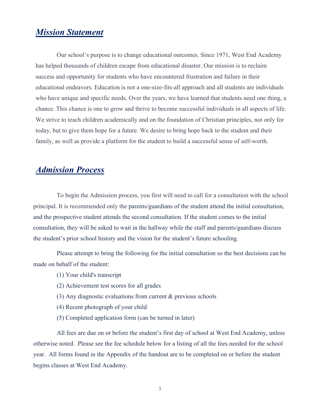## *Mission Statement*

Our school's purpose is to change educational outcomes. Since 1971, West End Academy has helped thousands of children escape from educational disaster. Our mission is to reclaim success and opportunity for students who have encountered frustration and failure in their educational endeavors. Education is not a one-size-fits-all approach and all students are individuals who have unique and specific needs. Over the years, we have learned that students need one thing, a chance. This chance is one to grow and thrive to become successful individuals in all aspects of life. We strive to teach children academically and on the foundation of Christian principles, not only for today, but to give them hope for a future. We desire to bring hope back to the student and their family, as well as provide a platform for the student to build a successful sense of self-worth.

## *Admission Process*

To begin the Admission process, you first will need to call for a consultation with the school principal. It is recommended only the parents/guardians of the student attend the initial consultation, and the prospective student attends the second consultation. If the student comes to the initial consultation, they will be asked to wait in the hallway while the staff and parents/guardians discuss the student's prior school history and the vision for the student's future schooling.

Please attempt to bring the following for the initial consultation so the best decisions can be made on behalf of the student:

- (1) Your child's transcript
- (2) Achievement test scores for all grades
- (3) Any diagnostic evaluations from current & previous schools
- (4) Recent photograph of your child
- (5) Completed application form (can be turned in later)

All fees are due on or before the student's first day of school at West End Academy, unless otherwise noted. Please see the fee schedule below for a listing of all the fees needed for the school year. All forms found in the Appendix of the handout are to be completed on or before the student begins classes at West End Academy.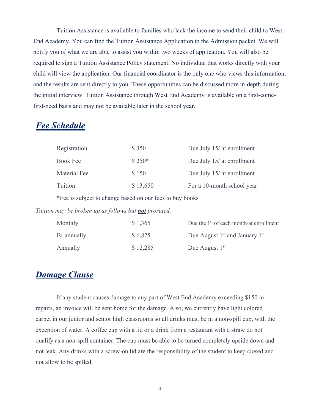Tuition Assistance is available to families who lack the income to send their child to West End Academy. You can find the Tuition Assistance Application in the Admission packet. We will notify you of what we are able to assist you within two weeks of application. You will also be required to sign a Tuition Assistance Policy statement. No individual that works directly with your child will view the application. Our financial coordinator is the only one who views this information, and the results are sent directly to you. These opportunities can be discussed more in-depth during the initial interview. Tuition Assistance through West End Academy is available on a first-comefirst-need basis and may not be available later in the school year.

## *Fee Schedule*

| Registration | \$350    | Due July 15/ at enrollment |
|--------------|----------|----------------------------|
| Book Fee     | $$250*$  | Due July 15/ at enrollment |
| Material Fee | \$150    | Due July 15/ at enrollment |
| Tuition      | \$13,650 | For a 10-month school year |

\*Fee is subject to change based on our fees to buy books

*Tuition may be broken up as follows but not prorated:*

| Monthly     | \$1,365  | Due the $1st$ of each month/at enrollment |
|-------------|----------|-------------------------------------------|
| Bi-annually | \$6,825  | Due August $1st$ and January $1st$        |
| Annually    | \$12,285 | Due August $1st$                          |

## *Damage Clause*

If any student causes damage to any part of West End Academy exceeding \$150 in repairs, an invoice will be sent home for the damage. Also, we currently have light colored carpet in our junior and senior high classrooms so all drinks must be in a non-spill cup, with the exception of water. A coffee cup with a lid or a drink from a restaurant with a straw do not qualify as a non-spill container. The cup must be able to be turned completely upside down and not leak. Any drinks with a screw-on lid are the responsibility of the student to keep closed and not allow to be spilled.

4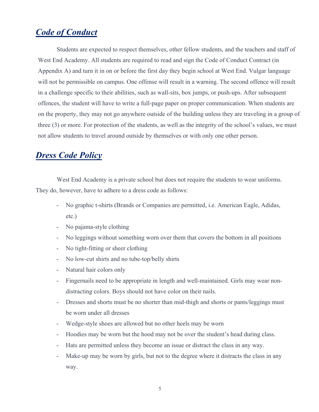## *Code of Conduct*

Students are expected to respect themselves, other fellow students, and the teachers and staff of West End Academy. All students are required to read and sign the Code of Conduct Contract (in Appendix A) and turn it in on or before the first day they begin school at West End. Vulgar language will not be permissible on campus. One offense will result in a warning. The second offence will result in a challenge specific to their abilities, such as wall-sits, box jumps, or push-ups. After subsequent offences, the student will have to write a full-page paper on proper communication. When students are on the property, they may not go anywhere outside of the building unless they are traveling in a group of three (3) or more. For protection of the students, as well as the integrity of the school's values, we must not allow students to travel around outside by themselves or with only one other person.

## *Dress Code Policy*

West End Academy is a private school but does not require the students to wear uniforms. They do, however, have to adhere to a dress code as follows:

- No graphic t-shirts (Brands or Companies are permitted, i.e. American Eagle, Adidas, etc.)
- No pajama-style clothing
- No leggings without something worn over them that covers the bottom in all positions
- No tight-fitting or sheer clothing
- No low-cut shirts and no tube-top/belly shirts
- Natural hair colors only
- Fingernails need to be appropriate in length and well-maintained. Girls may wear nondistracting colors. Boys should not have color on their nails.
- Dresses and shorts must be no shorter than mid-thigh and shorts or pants/leggings must be worn under all dresses
- Wedge-style shoes are allowed but no other heels may be worn
- Hoodies may be worn but the hood may not be over the student's head during class.
- Hats are permitted unless they become an issue or distract the class in any way.
- Make-up may be worn by girls, but not to the degree where it distracts the class in any way.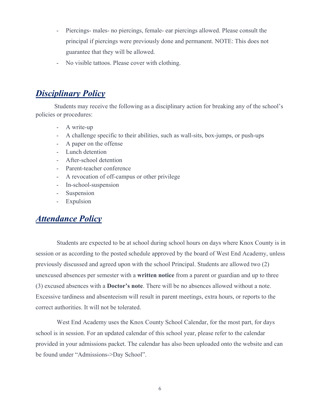- Piercings- males- no piercings, female- ear piercings allowed. Please consult the principal if piercings were previously done and permanent. NOTE: This does not guarantee that they will be allowed.
- No visible tattoos. Please cover with clothing.

## *Disciplinary Policy*

Students may receive the following as a disciplinary action for breaking any of the school's policies or procedures:

- A write-up
- A challenge specific to their abilities, such as wall-sits, box-jumps, or push-ups
- A paper on the offense
- Lunch detention
- After-school detention
- Parent-teacher conference
- A revocation of off-campus or other privilege
- In-school-suspension
- Suspension
- Expulsion

## *Attendance Policy*

Students are expected to be at school during school hours on days where Knox County is in session or as according to the posted schedule approved by the board of West End Academy, unless previously discussed and agreed upon with the school Principal. Students are allowed two (2) unexcused absences per semester with a **written notice** from a parent or guardian and up to three (3) excused absences with a **Doctor's note**. There will be no absences allowed without a note. Excessive tardiness and absenteeism will result in parent meetings, extra hours, or reports to the correct authorities. It will not be tolerated.

West End Academy uses the Knox County School Calendar, for the most part, for days school is in session. For an updated calendar of this school year, please refer to the calendar provided in your admissions packet. The calendar has also been uploaded onto the website and can be found under "Admissions->Day School".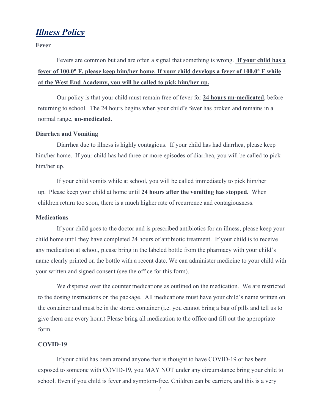## *Illness Policy*

**Fever**

## Fevers are common but and are often a signal that something is wrong. **If your child has a fever of 100.0**° **F, please keep him/her home. If your child develops a fever of 100.0**° **F while at the West End Academy, you will be called to pick him/her up.**

Our policy is that your child must remain free of fever for **24 hours un-medicated**, before returning to school. The 24 hours begins when your child's fever has broken and remains in a normal range, **un-medicated**.

#### **Diarrhea and Vomiting**

 Diarrhea due to illness is highly contagious. If your child has had diarrhea, please keep him/her home. If your child has had three or more episodes of diarrhea, you will be called to pick him/her up.

If your child vomits while at school, you will be called immediately to pick him/her up. Please keep your child at home until **24 hours after the vomiting has stopped.** When children return too soon, there is a much higher rate of recurrence and contagiousness.

#### **Medications**

 If your child goes to the doctor and is prescribed antibiotics for an illness, please keep your child home until they have completed 24 hours of antibiotic treatment. If your child is to receive any medication at school, please bring in the labeled bottle from the pharmacy with your child's name clearly printed on the bottle with a recent date. We can administer medicine to your child with your written and signed consent (see the office for this form).

We dispense over the counter medications as outlined on the medication. We are restricted to the dosing instructions on the package. All medications must have your child's name written on the container and must be in the stored container (i.e. you cannot bring a bag of pills and tell us to give them one every hour.) Please bring all medication to the office and fill out the appropriate form.

#### **COVID-19**

If your child has been around anyone that is thought to have COVID-19 or has been exposed to someone with COVID-19, you MAY NOT under any circumstance bring your child to school. Even if you child is fever and symptom-free. Children can be carriers, and this is a very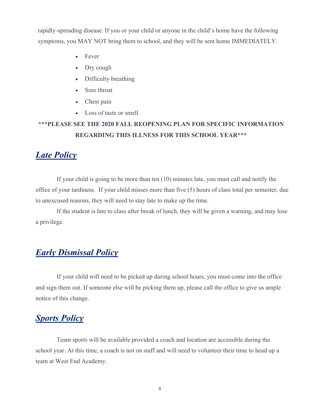rapidly-spreading disease. If you or your child or anyone in the child's home have the following symptoms, you MAY NOT bring them to school, and they will be sent home IMMEDIATELY.

- Fever
- Dry cough
- Difficulty breathing
- Sore throat
- Chest pain
- Loss of taste or smell

## **\*\*\*PLEASE SEE THE 2020 FALL REOPENING PLAN FOR SPECIFIC INFORMATION REGARDING THIS ILLNESS FOR THIS SCHOOL YEAR\*\*\***

## *Late Policy*

If your child is going to be more than ten (10) minutes late, you must call and notify the office of your tardiness. If your child misses more than five (5) hours of class total per semester, due to unexcused reasons, they will need to stay late to make up the time.

If the student is late to class after break of lunch, they will be given a warning, and may lose a privilege.

## *Early Dismissal Policy*

If your child will need to be picked up during school hours, you must come into the office and sign them out. If someone else will be picking them up, please call the office to give us ample notice of this change.

## *Sports Policy*

Team sports will be available provided a coach and location are accessible during the school year. At this time, a coach is not on staff and will need to volunteer their time to head up a team at West End Academy.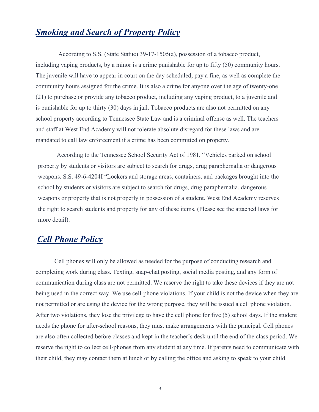## *Smoking and Search of Property Policy*

According to S.S. (State Statue) 39-17-1505(a), possession of a tobacco product, including vaping products, by a minor is a crime punishable for up to fifty (50) community hours. The juvenile will have to appear in court on the day scheduled, pay a fine, as well as complete the community hours assigned for the crime. It is also a crime for anyone over the age of twenty-one (21) to purchase or provide any tobacco product, including any vaping product, to a juvenile and is punishable for up to thirty (30) days in jail. Tobacco products are also not permitted on any school property according to Tennessee State Law and is a criminal offense as well. The teachers and staff at West End Academy will not tolerate absolute disregard for these laws and are mandated to call law enforcement if a crime has been committed on property.

According to the Tennessee School Security Act of 1981, "Vehicles parked on school property by students or visitors are subject to search for drugs, drug paraphernalia or dangerous weapons. S.S. 49-6-4204I "Lockers and storage areas, containers, and packages brought into the school by students or visitors are subject to search for drugs, drug paraphernalia, dangerous weapons or property that is not properly in possession of a student. West End Academy reserves the right to search students and property for any of these items. (Please see the attached laws for more detail).

## *Cell Phone Policy*

Cell phones will only be allowed as needed for the purpose of conducting research and completing work during class. Texting, snap-chat posting, social media posting, and any form of communication during class are not permitted. We reserve the right to take these devices if they are not being used in the correct way. We use cell-phone violations. If your child is not the device when they are not permitted or are using the device for the wrong purpose, they will be issued a cell phone violation. After two violations, they lose the privilege to have the cell phone for five (5) school days. If the student needs the phone for after-school reasons, they must make arrangements with the principal. Cell phones are also often collected before classes and kept in the teacher's desk until the end of the class period. We reserve the right to collect cell-phones from any student at any time. If parents need to communicate with their child, they may contact them at lunch or by calling the office and asking to speak to your child.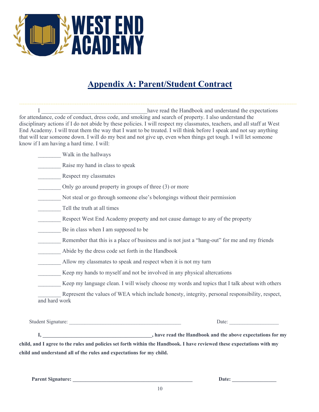

# **Appendix A: Parent/Student Contract**

I contract the Handbook and understand the expectations of the Handbook and understand the expectations for attendance, code of conduct, dress code, and smoking and search of property. I also understand the disciplinary actions if I do not abide by these policies. I will respect my classmates, teachers, and all staff at West End Academy. I will treat them the way that I want to be treated. I will think before I speak and not say anything that will tear someone down. I will do my best and not give up, even when things get tough. I will let someone know if I am having a hard time. I will:

\_\_\_\_\_\_\_\_ Walk in the hallways

Raise my hand in class to speak

Respect my classmates

Only go around property in groups of three  $(3)$  or more

Not steal or go through someone else's belongings without their permission

\_\_\_\_\_\_\_\_ Tell the truth at all times

\_\_\_\_\_\_\_\_ Respect West End Academy property and not cause damage to any of the property

Be in class when I am supposed to be

Remember that this is a place of business and is not just a "hang-out" for me and my friends

\_\_\_\_\_\_\_\_ Abide by the dress code set forth in the Handbook

Allow my classmates to speak and respect when it is not my turn

Keep my hands to myself and not be involved in any physical altercations

Keep my language clean. I will wisely choose my words and topics that I talk about with others

Represent the values of WEA which include honesty, integrity, personal responsibility, respect, and hard work

Student Signature: \_\_\_\_\_\_\_\_\_\_\_\_\_\_\_\_\_\_\_\_\_\_\_\_\_\_\_\_\_\_\_\_\_\_\_\_\_\_\_\_\_\_\_ Date: \_\_\_\_\_\_\_\_\_\_\_\_\_\_\_\_\_\_\_

**I, \_\_\_\_\_\_\_\_\_\_\_\_\_\_\_\_\_\_\_\_\_\_\_\_\_\_\_\_\_\_\_\_\_\_\_\_\_\_\_\_\_\_, have read the Handbook and the above expectations for my child, and I agree to the rules and policies set forth within the Handbook. I have reviewed these expectations with my child and understand all of the rules and expectations for my child.**

**Parent Signature: \_\_\_\_\_\_\_\_\_\_\_\_\_\_\_\_\_\_\_\_\_\_\_\_\_\_\_\_\_\_\_\_\_\_\_\_\_\_\_\_\_\_\_\_\_\_ Date: \_\_\_\_\_\_\_\_\_\_\_\_\_\_\_\_\_**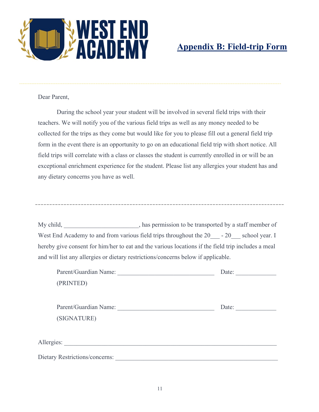

# **Appendix B: Field-trip Form**

Dear Parent,

During the school year your student will be involved in several field trips with their teachers. We will notify you of the various field trips as well as any money needed to be collected for the trips as they come but would like for you to please fill out a general field trip form in the event there is an opportunity to go on an educational field trip with short notice. All field trips will correlate with a class or classes the student is currently enrolled in or will be an exceptional enrichment experience for the student. Please list any allergies your student has and any dietary concerns you have as well.

My child, has permission to be transported by a staff member of West End Academy to and from various field trips throughout the 20 - 20 school year. I hereby give consent for him/her to eat and the various locations if the field trip includes a meal and will list any allergies or dietary restrictions/concerns below if applicable.

| Parent/Guardian Name:                 | Date: |
|---------------------------------------|-------|
| (PRINTED)                             |       |
|                                       |       |
| Parent/Guardian Name:                 | Date: |
| (SIGNATURE)                           |       |
|                                       |       |
| Allergies:                            |       |
| <b>Dietary Restrictions/concerns:</b> |       |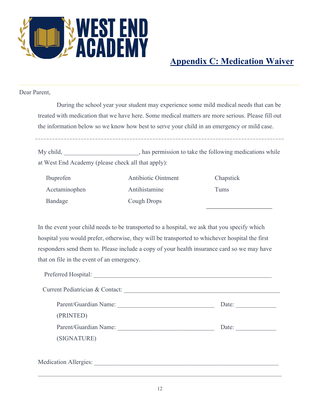

# **Appendix C: Medication Waiver**

Dear Parent,

During the school year your student may experience some mild medical needs that can be treated with medication that we have here. Some medical matters are more serious. Please fill out the information below so we know how best to serve your child in an emergency or mild case.

My child, has permission to take the following medications while at West End Academy (please check all that apply):

| Ibuprofen     | <b>Antibiotic Ointment</b> | Chapstick |
|---------------|----------------------------|-----------|
| Acetaminophen | Antihistamine              | Tums      |
| Bandage       | Cough Drops                |           |

In the event your child needs to be transported to a hospital, we ask that you specify which hospital you would prefer, otherwise, they will be transported to whichever hospital the first responders send them to. Please include a copy of your health insurance card so we may have that on file in the event of an emergency.

| Preferred Hospital: New York 1988 |       |
|-----------------------------------|-------|
| Current Pediatrician & Contact:   |       |
| Parent/Guardian Name:             | Date: |
| (PRINTED)                         |       |
| Parent/Guardian Name:             | Date: |
| (SIGNATURE)                       |       |
|                                   |       |
| Medication Allergies:             |       |